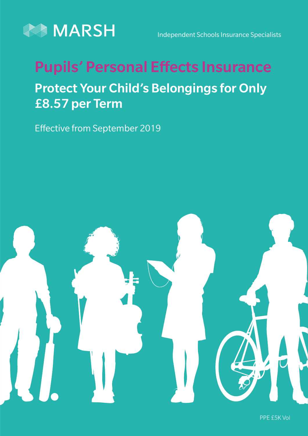

Independent Schools Insurance Specialists

# Pupils' Personal Effects Insurance Protect Your Child's Belongings for Only £8.57 per Term

Effective from September 2019



PPE £5K Vol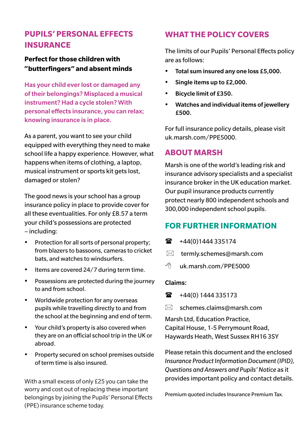# **PUPILS' PERSONAL EFFECTS INSURANCE**

### **Perfect for those children with "butterfingers" and absent minds**

Has your child ever lost or damaged any of their belongings? Misplaced a musical instrument? Had a cycle stolen? With personal effects insurance, you can relax; knowing insurance is in place.

As a parent, you want to see your child equipped with everything they need to make school life a happy experience. However, what happens when items of clothing, a laptop, musical instrument or sports kit gets lost, damaged or stolen?

The good news is your school has a group insurance policy in place to provide cover for all these eventualities. For only £8.57 a term your child's possessions are protected – including:

- Protection for all sorts of personal property; from blazers to bassoons, cameras to cricket bats, and watches to windsurfers.
- Items are covered 24/7 during term time.
- Possessions are protected during the journey to and from school.
- Worldwide protection for any overseas pupils while travelling directly to and from the school at the beginning and end of term.
- Your child's property is also covered when they are on an official school trip in the UK or abroad.
- Property secured on school premises outside of term time is also insured.

With a small excess of only £25 you can take the worry and cost out of replacing these important belongings by joining the Pupils' Personal Effects (PPE) insurance scheme today.

# **WHAT THE POLICY COVERS**

The limits of our Pupils' Personal Effects policy are as follows:

- Total sum insured any one loss £5,000.
- y Single items up to £2,000.
- Bicycle limit of £350.
- **•** Watches and individual items of jewellery £500.

For full insurance policy details, please visit uk.marsh.com/PPE5000.

# **ABOUT MARSH**

Marsh is one of the world's leading risk and insurance advisory specialists and a specialist insurance broker in the UK education market. Our pupil insurance products currently protect nearly 800 independent schools and 300,000 independent school pupils.

# **FOR FURTHER INFORMATION**

- $\mathbf{R}$  +44(0)1444 335174
- $\boxtimes$  termly.schemes@marsh.com
- $\sqrt{2}$  uk marsh com/PPF5000

#### Claims:

- $\bullet$  +44(0) 1444 335173
- $\boxtimes$  schemes.claims@marsh.com

Marsh Ltd, Education Practice, Capital House, 1-5 Perrymount Road, Haywards Heath, West Sussex RH16 3SY

Please retain this document and the enclosed *Insurance Product Information Document (IPID), Questions and Answers and Pupils' Notice* as it provides important policy and contact details.

Premium quoted includes Insurance Premium Tax.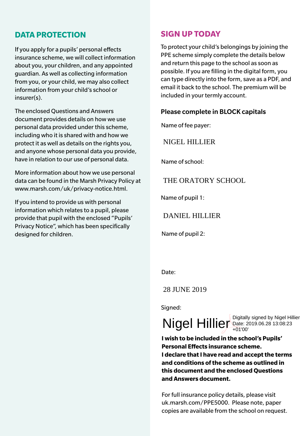## **DATA PROTECTION**

If you apply for a pupils' personal effects insurance scheme, we will collect information about you, your children, and any appointed guardian. As well as collecting information from you, or your child, we may also collect information from your child's school or insurer(s).

The enclosed Questions and Answers document provides details on how we use personal data provided under this scheme, including who it is shared with and how we protect it as well as details on the rights you, and anyone whose personal data you provide, have in relation to our use of personal data.

More information about how we use personal data can be found in the Marsh Privacy Policy at www.marsh.com/uk/privacy-notice.html.

If you intend to provide us with personal information which relates to a pupil, please provide that pupil with the enclosed "Pupils' Privacy Notice", which has been specifically designed for children.

# **SIGN UP TODAY**

To protect your child's belongings by joining the PPE scheme simply complete the details below and return this page to the school as soon as possible. If you are filling in the digital form, you can type directly into the form, save as a PDF, and email it back to the school. The premium will be included in your termly account.

#### Please complete in BLOCK capitals

Name of fee payer:

NIGEL HILLIER

Name of school:

THE ORATORY SCHOOL

Name of pupil 1:

DANIEL HILLIER

Name of pupil 2:

Date:

28 JUNE 2019

Sianed:

 $Nigel$  Hillier Digitally signed by Nigel Hillier

+01'00'

**I wish to be included in the school's Pupils' Personal Effects insurance scheme. I declare that I have read and accept the terms and conditions of the scheme as outlined in this document and the enclosed Questions and Answers document.** 

For full insurance policy details, please visit uk.marsh.com/PPE5000. Please note, paper copies are available from the school on request.